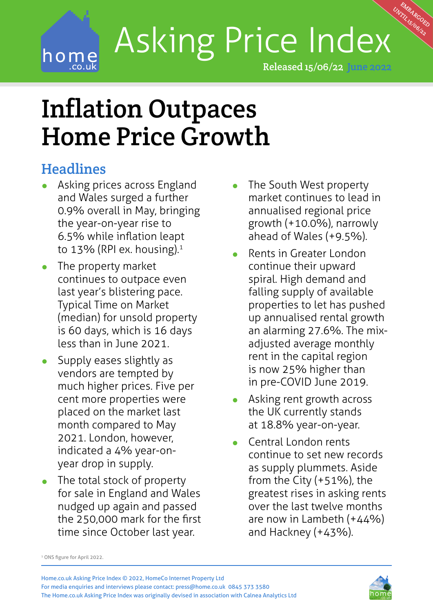## UNTIL 15/06/22 Asking Price Index home Released 15/06/22 June 2022

Home.com/ The extension of the extension of the extension of 15/06/2022 **12/06/2022** 

# Inflation Outpaces Home Price Growth

### **Headlines**

- **•** Asking prices across England and Wales surged a further 0.9% overall in May, bringing the year-on-year rise to 6.5% while inflation leapt to 13% (RPI ex. housing). $1$
- **•** The property market continues to outpace even last year's blistering pace. Typical Time on Market (median) for unsold property is 60 days, which is 16 days less than in June 2021.
- **•** Supply eases slightly as vendors are tempted by much higher prices. Five per cent more properties were placed on the market last month compared to May 2021. London, however, indicated a 4% year-onyear drop in supply.
- **•** The total stock of property for sale in England and Wales nudged up again and passed the 250,000 mark for the first time since October last year.

**•** The South West property market continues to lead in annualised regional price growth (+10.0%), narrowly ahead of Wales (+9.5%).

MBARGOED

- **•** Rents in Greater London continue their upward spiral. High demand and falling supply of available properties to let has pushed up annualised rental growth an alarming 27.6%. The mixadjusted average monthly rent in the capital region is now 25% higher than in pre-COVID June 2019.
- **•** Asking rent growth across the UK currently stands at 18.8% year-on-year.
- **•** Central London rents continue to set new records as supply plummets. Aside from the City  $(+51%)$ , the greatest rises in asking rents over the last twelve months are now in Lambeth (+44%) and Hackney (+43%).

<sup>1</sup> ONS figure for April 2022.

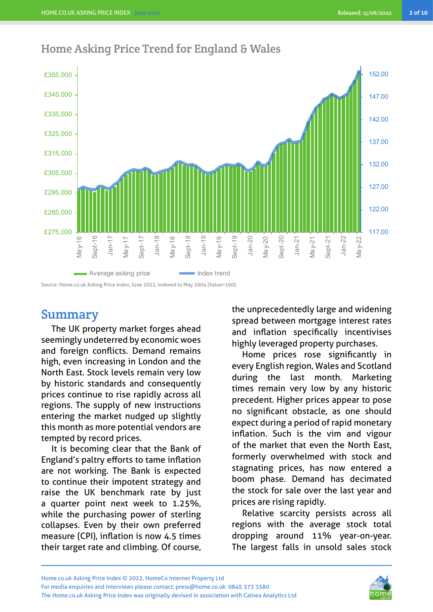

#### Home Asking Price Trend for England & Wales

Source: Home.co.uk Asking Price Index, June 2022, Indexed to May 2004 (Value=100).

#### Summary

The UK property market forges ahead seemingly undeterred by economic woes and foreign conflicts. Demand remains high, even increasing in London and the North East. Stock levels remain very low by historic standards and consequently prices continue to rise rapidly across all regions. The supply of new instructions entering the market nudged up slightly this month as more potential vendors are tempted by record prices.

It is becoming clear that the Bank of England's paltry efforts to tame inflation are not working. The Bank is expected to continue their impotent strategy and raise the UK benchmark rate by just a quarter point next week to 1.25%, while the purchasing power of sterling collapses. Even by their own preferred measure (CPI), inflation is now 4.5 times their target rate and climbing. Of course,

the unprecedentedly large and widening spread between mortgage interest rates and inflation specifically incentivises highly leveraged property purchases.

Home prices rose significantly in every English region, Wales and Scotland during the last month. Marketing times remain very low by any historic precedent. Higher prices appear to pose no significant obstacle, as one should expect during a period of rapid monetary inflation. Such is the vim and vigour of the market that even the North East, formerly overwhelmed with stock and stagnating prices, has now entered a boom phase. Demand has decimated the stock for sale over the last year and prices are rising rapidly.

Relative scarcity persists across all regions with the average stock total dropping around 11% year-on-year. The largest falls in unsold sales stock

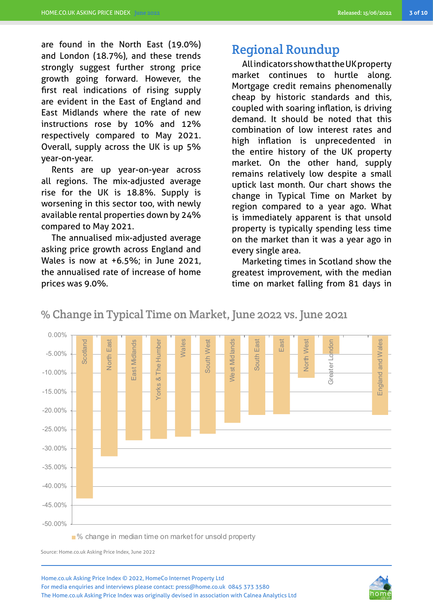are found in the North East (19.0%) and London (18.7%), and these trends strongly suggest further strong price growth going forward. However, the first real indications of rising supply are evident in the East of England and East Midlands where the rate of new instructions rose by 10% and 12% respectively compared to May 2021. Overall, supply across the UK is up 5% year-on-year.

Rents are up year-on-year across all regions. The mix-adjusted average rise for the UK is 18.8%. Supply is worsening in this sector too, with newly available rental properties down by 24% compared to May 2021.

The annualised mix-adjusted average asking price growth across England and Wales is now at +6.5%; in June 2021, the annualised rate of increase of home prices was 9.0%.

#### Regional Roundup

All indicators show that the UK property market continues to hurtle along. Mortgage credit remains phenomenally cheap by historic standards and this, coupled with soaring inflation, is driving demand. It should be noted that this combination of low interest rates and high inflation is unprecedented in the entire history of the UK property market. On the other hand, supply remains relatively low despite a small uptick last month. Our chart shows the change in Typical Time on Market by region compared to a year ago. What is immediately apparent is that unsold property is typically spending less time on the market than it was a year ago in every single area.

Marketing times in Scotland show the greatest improvement, with the median time on market falling from 81 days in

% Change in Typical Time on Market, June 2022 vs. June 2021



■% change in median time on market for unsold property

Source: Home.co.uk Asking Price Index, June 2022

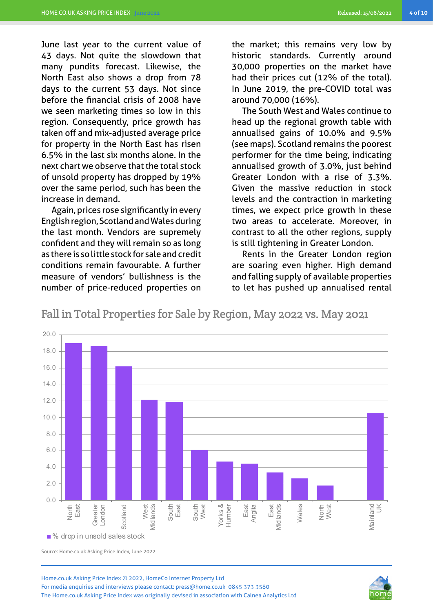June last year to the current value of 43 days. Not quite the slowdown that many pundits forecast. Likewise, the North East also shows a drop from 78 days to the current 53 days. Not since before the financial crisis of 2008 have we seen marketing times so low in this region. Consequently, price growth has taken off and mix-adjusted average price for property in the North East has risen 6.5% in the last six months alone. In the next chart we observe that the total stock of unsold property has dropped by 19% over the same period, such has been the increase in demand.

Again, prices rose significantly in every English region, Scotland and Wales during the last month. Vendors are supremely confident and they will remain so as long as there is so little stock for sale and credit conditions remain favourable. A further measure of vendors' bullishness is the number of price-reduced properties on the market; this remains very low by historic standards. Currently around 30,000 properties on the market have had their prices cut (12% of the total). In June 2019, the pre-COVID total was around 70,000 (16%).

The South West and Wales continue to head up the regional growth table with annualised gains of 10.0% and 9.5% (see maps). Scotland remains the poorest performer for the time being, indicating annualised growth of 3.0%, just behind Greater London with a rise of 3.3%. Given the massive reduction in stock levels and the contraction in marketing times, we expect price growth in these two areas to accelerate. Moreover, in contrast to all the other regions, supply is still tightening in Greater London.

Rents in the Greater London region are soaring even higher. High demand and falling supply of available properties to let has pushed up annualised rental

Fall in Total Properties for Sale by Region, May 2022 vs. May 2021



Source: Home.co.uk Asking Price Index, June 2022

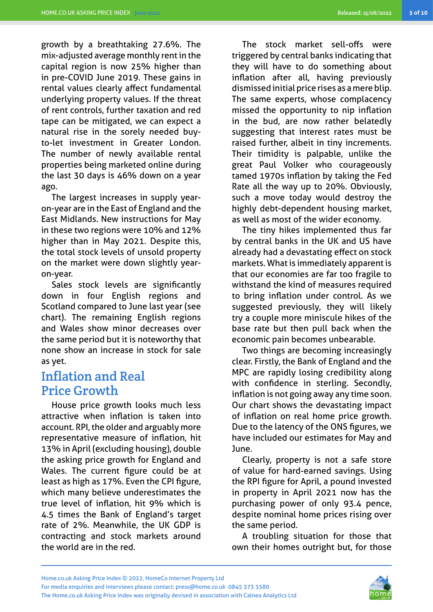growth by a breathtaking 27.6%. The mix-adjusted average monthly rent in the capital region is now 25% higher than in pre-COVID June 2019. These gains in rental values clearly affect fundamental underlying property values. If the threat of rent controls, further taxation and red tape can be mitigated, we can expect a natural rise in the sorely needed buyto-let investment in Greater London. The number of newly available rental properties being marketed online during the last 30 days is 46% down on a year ago.

The largest increases in supply yearon-year are in the East of England and the East Midlands. New instructions for May in these two regions were 10% and 12% higher than in May 2021. Despite this, the total stock levels of unsold property on the market were down slightly yearon-year.

Sales stock levels are significantly down in four English regions and Scotland compared to June last year (see chart). The remaining English regions and Wales show minor decreases over the same period but it is noteworthy that none show an increase in stock for sale as yet.

#### Inflation and Real Price Growth

House price growth looks much less attractive when inflation is taken into account. RPI, the older and arguably more representative measure of inflation, hit 13% in April (excluding housing), double the asking price growth for England and Wales. The current figure could be at least as high as 17%. Even the CPI figure, which many believe underestimates the true level of inflation, hit 9% which is 4.5 times the Bank of England's target rate of 2%. Meanwhile, the UK GDP is contracting and stock markets around the world are in the red.

The stock market sell-offs were triggered by central banks indicating that they will have to do something about inflation after all, having previously dismissed initial price rises as a mere blip. The same experts, whose complacency missed the opportunity to nip inflation in the bud, are now rather belatedly suggesting that interest rates must be raised further, albeit in tiny increments. Their timidity is palpable, unlike the great Paul Volker who courageously tamed 1970s inflation by taking the Fed Rate all the way up to 20%. Obviously, such a move today would destroy the highly debt-dependent housing market, as well as most of the wider economy.

The tiny hikes implemented thus far by central banks in the UK and US have already had a devastating effect on stock markets. What is immediately apparent is that our economies are far too fragile to withstand the kind of measures required to bring inflation under control. As we suggested previously, they will likely try a couple more miniscule hikes of the base rate but then pull back when the economic pain becomes unbearable.

Two things are becoming increasingly clear. Firstly, the Bank of England and the MPC are rapidly losing credibility along with confidence in sterling. Secondly, inflation is not going away any time soon. Our chart shows the devastating impact of inflation on real home price growth. Due to the latency of the ONS figures, we have included our estimates for May and June.

Clearly, property is not a safe store of value for hard-earned savings. Using the RPI figure for April, a pound invested in property in April 2021 now has the purchasing power of only 93.4 pence, despite nominal home prices rising over the same period.

A troubling situation for those that own their homes outright but, for those

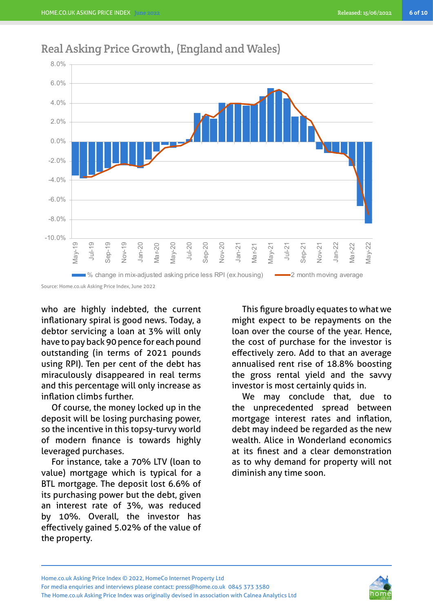

#### Real Asking Price Growth, (England and Wales)

who are highly indebted, the current inflationary spiral is good news. Today, a debtor servicing a loan at 3% will only have to pay back 90 pence for each pound outstanding (in terms of 2021 pounds using RPI). Ten per cent of the debt has miraculously disappeared in real terms and this percentage will only increase as inflation climbs further.

Of course, the money locked up in the deposit will be losing purchasing power, so the incentive in this topsy-turvy world of modern finance is towards highly leveraged purchases.

For instance, take a 70% LTV (loan to value) mortgage which is typical for a BTL mortgage. The deposit lost 6.6% of its purchasing power but the debt, given an interest rate of 3%, was reduced by 10%. Overall, the investor has effectively gained 5.02% of the value of the property.

This figure broadly equates to what we might expect to be repayments on the loan over the course of the year. Hence, the cost of purchase for the investor is effectively zero. Add to that an average annualised rent rise of 18.8% boosting the gross rental yield and the savvy investor is most certainly quids in.

We may conclude that, due to the unprecedented spread between mortgage interest rates and inflation, debt may indeed be regarded as the new wealth. Alice in Wonderland economics at its finest and a clear demonstration as to why demand for property will not diminish any time soon.

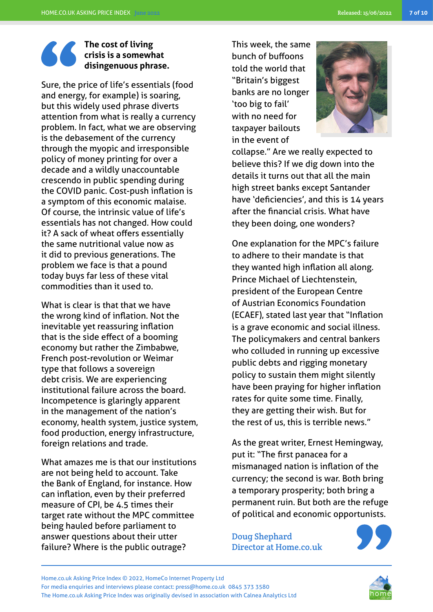#### **The cost of living crisis is a somewhat disingenuous phrase.**

Sure, the price of life's essentials (food and energy, for example) is soaring, but this widely used phrase diverts attention from what is really a currency problem. In fact, what we are observing is the debasement of the currency through the myopic and irresponsible policy of money printing for over a decade and a wildly unaccountable crescendo in public spending during the COVID panic. Cost-push inflation is a symptom of this economic malaise. Of course, the intrinsic value of life's essentials has not changed. How could it? A sack of wheat offers essentially the same nutritional value now as it did to previous generations. The problem we face is that a pound today buys far less of these vital commodities than it used to.

What is clear is that that we have the wrong kind of inflation. Not the inevitable yet reassuring inflation that is the side effect of a booming economy but rather the Zimbabwe, French post-revolution or Weimar type that follows a sovereign debt crisis. We are experiencing institutional failure across the board. Incompetence is glaringly apparent in the management of the nation's economy, health system, justice system, food production, energy infrastructure, foreign relations and trade.

What amazes me is that our institutions are not being held to account. Take the Bank of England, for instance. How can inflation, even by their preferred measure of CPI, be 4.5 times their target rate without the MPC committee being hauled before parliament to answer questions about their utter failure? Where is the public outrage?

This week, the same bunch of buffoons told the world that "Britain's biggest banks are no longer 'too big to fail' with no need for taxpayer bailouts in the event of



collapse." Are we really expected to believe this? If we dig down into the details it turns out that all the main high street banks except Santander have 'deficiencies', and this is 14 years after the financial crisis. What have they been doing, one wonders?

One explanation for the MPC's failure to adhere to their mandate is that they wanted high inflation all along. Prince Michael of Liechtenstein, president of the European Centre of Austrian Economics Foundation (ECAEF), stated last year that "Inflation is a grave economic and social illness. The policymakers and central bankers who colluded in running up excessive public debts and rigging monetary policy to sustain them might silently have been praying for higher inflation rates for quite some time. Finally, they are getting their wish. But for the rest of us, this is terrible news."

As the great writer, Ernest Hemingway, put it: "The first panacea for a mismanaged nation is inflation of the currency; the second is war. Both bring a temporary prosperity; both bring a permanent ruin. But both are the refuge of political and economic opportunists.

Doug Shephard Director at Home.co.uk



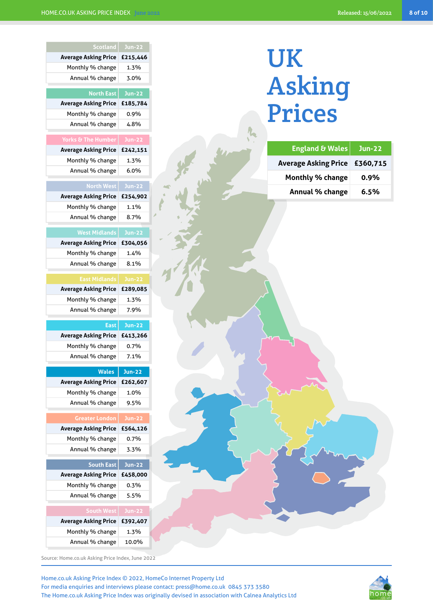# UK Asking Prices

| <b>England &amp; Wales</b>    | <b>Jun-22</b> |
|-------------------------------|---------------|
| Average Asking Price £360,715 |               |
| <b>Monthly % change</b>       | 0.9%          |
| Annual % change               | 6.5%          |

| <b>Scotland</b>                                  | <b>Jun-22</b>    |
|--------------------------------------------------|------------------|
| <b>Average Asking Price</b>                      | £215,446         |
| Monthly % change                                 | 1.3%             |
| Annual % change                                  | 3.0%             |
|                                                  |                  |
| <b>North East</b><br><b>Average Asking Price</b> | <b>Jun-22</b>    |
| Monthly % change                                 | £185,784<br>0.9% |
| Annual % change                                  | 4.8%             |
|                                                  |                  |
| <b>Yorks &amp; The Humber</b>                    | <b>Jun-22</b>    |
| <b>Average Asking Price</b>                      | £242,151         |
| Monthly % change                                 | 1.3%             |
| Annual % change                                  | 6.0%             |
| <b>North West</b>                                | $Jun-22$         |
| <b>Average Asking Price</b>                      | £254,902         |
| Monthly % change                                 | 1.1%             |
| Annual % change                                  | 8.7%             |
|                                                  |                  |
| <b>West Midlands</b>                             | <b>Jun-22</b>    |
| <b>Average Asking Price</b>                      | £304,056         |
| Monthly % change                                 | 1.4%             |
| Annual % change                                  | 8.1%             |
| <b>East Midlands</b>                             | <b>Jun-22</b>    |
| <b>Average Asking Price</b>                      | £289,085         |
| Monthly % change                                 | 1.3%             |
| Annual % change                                  | 7.9%             |
| <b>East</b>                                      | <b>Jun-22</b>    |
| <b>Average Asking Price</b>                      | £413,266         |
| Monthly % change                                 | 0.7%             |
| Annual % change                                  | 7.1%             |
|                                                  |                  |
| <b>Wales</b>                                     | Jun-22           |
| <b>Average Asking Price</b>                      | £262,607         |
| Monthly % change                                 | 1.0%             |
| Annual % change                                  | 9.5%             |
| <b>Greater London</b>                            | <b>Jun-22</b>    |
| <b>Average Asking Price</b>                      | £564,126         |
| Monthly % change                                 | 0.7%             |
| Annual % change                                  | 3.3%             |
| <b>South East</b>                                | <b>Jun-22</b>    |
| <b>Average Asking Price</b>                      | £458,000         |
| Monthly % change                                 | 0.3%             |
| Annual % change                                  | 5.5%             |
|                                                  |                  |
| <b>South West</b>                                | <b>Jun-22</b>    |
| <b>Average Asking Price</b>                      | £392,407         |
| Monthly % change                                 | 1.3%             |
| Annual % change                                  | 10.0%            |

Source: Home.co.uk Asking Price Index, June 2022

Home.co.uk Asking Price Index © 2022, HomeCo Internet Property Ltd For media enquiries and interviews please contact: press@home.co.uk 0845 373 3580 The Home.co.uk Asking Price Index was originally devised in association with Calnea Analytics Ltd

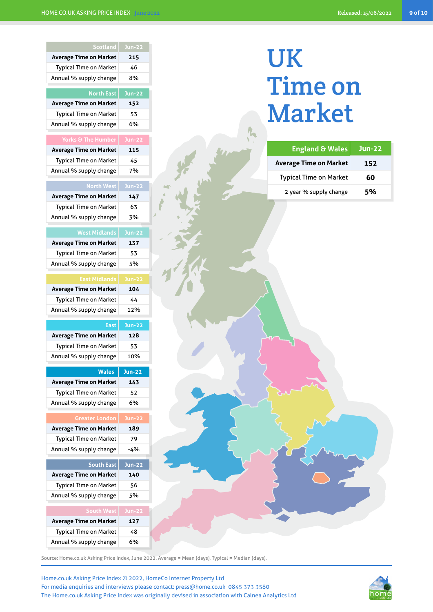| <b>Scotland</b>               | $Jun-22$      |
|-------------------------------|---------------|
| <b>Average Time on Market</b> | 215           |
| <b>Typical Time on Market</b> | 46            |
| Annual % supply change        | 8%            |
| <b>North East</b>             |               |
|                               | <b>Jun-22</b> |
| <b>Average Time on Market</b> | 152           |
| <b>Typical Time on Market</b> | 53<br>6%      |
| Annual % supply change        |               |
| <b>Yorks &amp; The Humber</b> | <b>Jun-22</b> |
| <b>Average Time on Market</b> | 115           |
| <b>Typical Time on Market</b> | 45            |
| Annual % supply change        | 7%            |
| <b>North West</b>             | <b>Jun-22</b> |
|                               |               |
| <b>Average Time on Market</b> | 147           |
| <b>Typical Time on Market</b> | 63            |
| Annual % supply change        | 3%            |
| <b>West Midlands</b>          | <b>Jun-22</b> |
| <b>Average Time on Market</b> | 137           |
| <b>Typical Time on Market</b> | 53            |
| Annual % supply change        | 5%            |
|                               |               |
| <b>East Midlands</b>          | <b>Jun-22</b> |
| <b>Average Time on Market</b> | 104           |
| <b>Typical Time on Market</b> | 44            |
|                               |               |
| Annual % supply change        | 12%           |
| <b>East</b>                   | <b>Jun-22</b> |
| <b>Average Time on Market</b> | 128           |
| <b>Typical Time on Market</b> | 53            |
| Annual % supply change        | 10%           |
|                               |               |
| <b>Wales</b>                  | <b>Jun-22</b> |
| <b>Average Time on Market</b> | 143           |
| <b>Typical Time on Market</b> | 52            |
| Annual % supply change        | 6%            |
| <b>Greater London</b>         | <b>Jun-22</b> |
| <b>Average Time on Market</b> | 189           |
| <b>Typical Time on Market</b> | 79            |
| Annual % supply change        | -4%           |
|                               |               |
| <b>South East</b>             | <b>Jun-22</b> |
| <b>Average Time on Market</b> | 140           |
| <b>Typical Time on Market</b> | 56            |
| Annual % supply change        | 5%            |
| <b>South West</b>             | <b>Jun-22</b> |
| <b>Average Time on Market</b> | 127           |
| <b>Typical Time on Market</b> | 48            |
| Annual % supply change        | 6%            |

## UK Time on Market

| <b>England &amp; Wales</b>    | <u>Jun-22,</u> |
|-------------------------------|----------------|
| <b>Average Time on Market</b> | 152            |
| <b>Typical Time on Market</b> | 60             |
| 2 year % supply change        | 5%             |

Source: Home.co.uk Asking Price Index, June 2022. Average = Mean (days), Typical = Median (days).



Home.co.uk Asking Price Index © 2022, HomeCo Internet Property Ltd For media enquiries and interviews please contact: press@home.co.uk 0845 373 3580 The Home.co.uk Asking Price Index was originally devised in association with Calnea Analytics Ltd